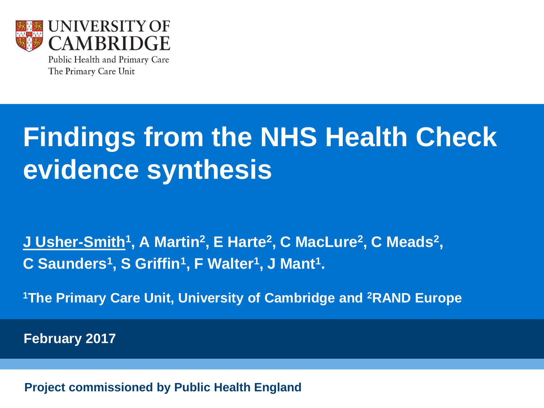

Public Health and Primary Care The Primary Care Unit

# **Findings from the NHS Health Check evidence synthesis**

 $J$  Usher-Smith<sup>1</sup>, A Martin<sup>2</sup>, E Harte<sup>2</sup>, C MacLure<sup>2</sup>, C Meads<sup>2</sup>, **C Saunders<sup>1</sup> , S Griffin<sup>1</sup> , F Walter<sup>1</sup> , J Mant<sup>1</sup> .** 

**<sup>1</sup>The Primary Care Unit, University of Cambridge and <sup>2</sup>RAND Europe**

 **February 2017**

**Project commissioned by Public Health England**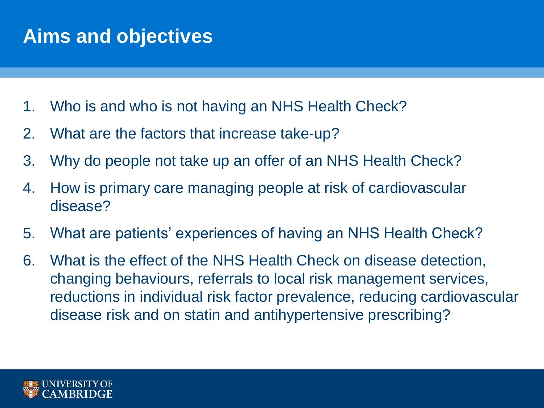## **Aims and objectives**

- 1. Who is and who is not having an NHS Health Check?
- 2. What are the factors that increase take-up?
- 3. Why do people not take up an offer of an NHS Health Check?
- 4. How is primary care managing people at risk of cardiovascular disease?
- 5. What are patients' experiences of having an NHS Health Check?
- 6. What is the effect of the NHS Health Check on disease detection, changing behaviours, referrals to local risk management services, reductions in individual risk factor prevalence, reducing cardiovascular disease risk and on statin and antihypertensive prescribing?

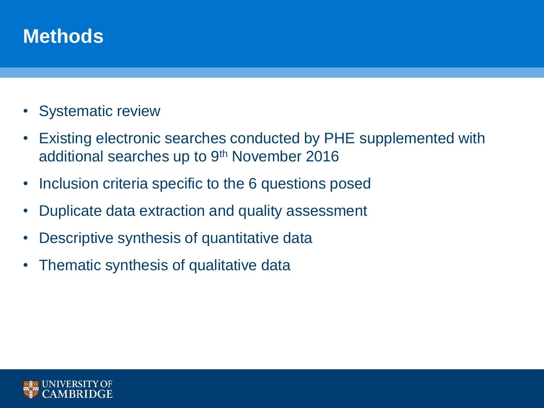## **Methods**

- Systematic review
- Existing electronic searches conducted by PHE supplemented with additional searches up to 9<sup>th</sup> November 2016
- Inclusion criteria specific to the 6 questions posed
- Duplicate data extraction and quality assessment
- Descriptive synthesis of quantitative data
- Thematic synthesis of qualitative data

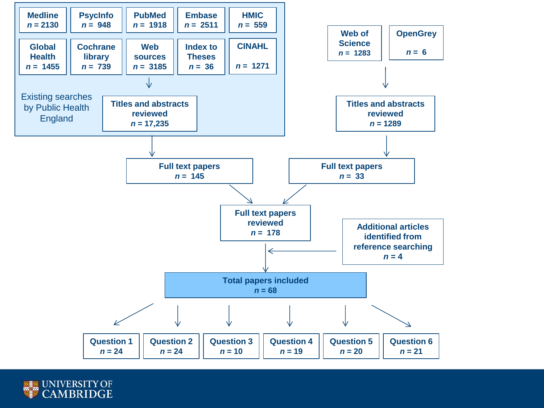

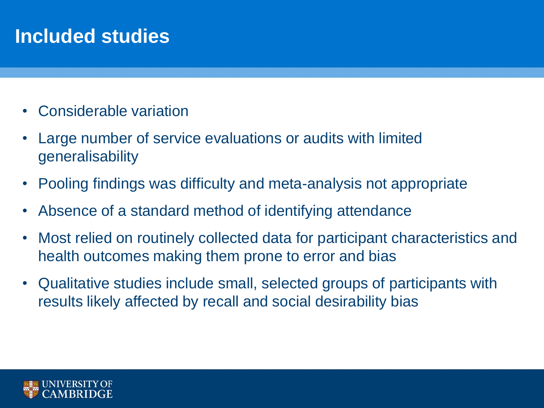# **Included studies**

- Considerable variation
- Large number of service evaluations or audits with limited generalisability
- Pooling findings was difficulty and meta-analysis not appropriate
- Absence of a standard method of identifying attendance
- Most relied on routinely collected data for participant characteristics and health outcomes making them prone to error and bias
- Qualitative studies include small, selected groups of participants with results likely affected by recall and social desirability bias

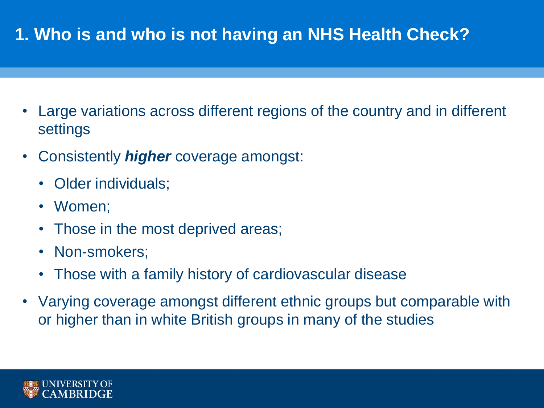## **1. Who is and who is not having an NHS Health Check?**

- Large variations across different regions of the country and in different settings
- Consistently *higher* coverage amongst:
	- Older individuals;
	- Women;
	- Those in the most deprived areas;
	- Non-smokers;
	- Those with a family history of cardiovascular disease
- Varying coverage amongst different ethnic groups but comparable with or higher than in white British groups in many of the studies

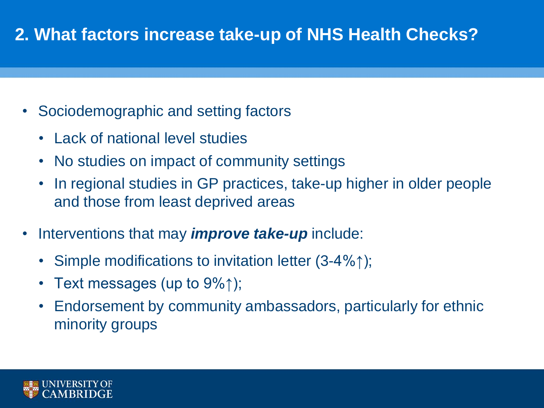#### **2. What factors increase take-up of NHS Health Checks?**

- Sociodemographic and setting factors
	- Lack of national level studies
	- No studies on impact of community settings
	- In regional studies in GP practices, take-up higher in older people and those from least deprived areas
- Interventions that may *improve take-up* include:
	- Simple modifications to invitation letter (3-4%↑);
	- Text messages (up to  $9\%$ );
	- Endorsement by community ambassadors, particularly for ethnic minority groups

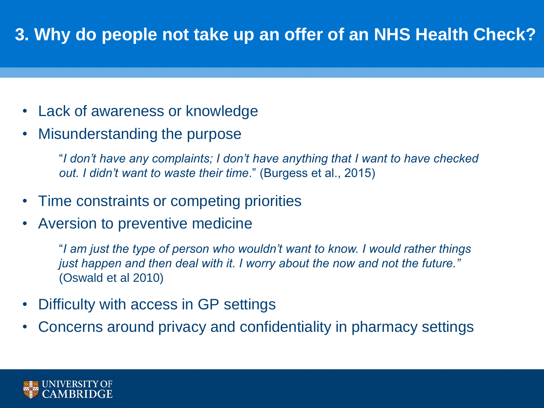#### **3. Why do people not take up an offer of an NHS Health Check?**

- Lack of awareness or knowledge
- Misunderstanding the purpose

"*I don't have any complaints; I don't have anything that I want to have checked out. I didn't want to waste their time*." (Burgess et al., 2015)

- Time constraints or competing priorities
- Aversion to preventive medicine

"*I am just the type of person who wouldn't want to know. I would rather things just happen and then deal with it. I worry about the now and not the future."*  (Oswald et al 2010)

- Difficulty with access in GP settings
- Concerns around privacy and confidentiality in pharmacy settings

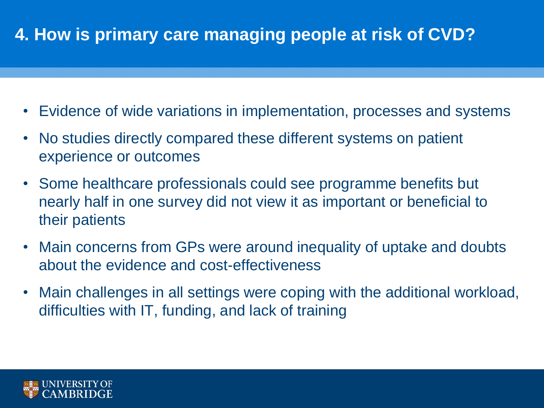## **4. How is primary care managing people at risk of CVD?**

- Evidence of wide variations in implementation, processes and systems
- No studies directly compared these different systems on patient experience or outcomes
- Some healthcare professionals could see programme benefits but nearly half in one survey did not view it as important or beneficial to their patients
- Main concerns from GPs were around inequality of uptake and doubts about the evidence and cost-effectiveness
- Main challenges in all settings were coping with the additional workload, difficulties with IT, funding, and lack of training

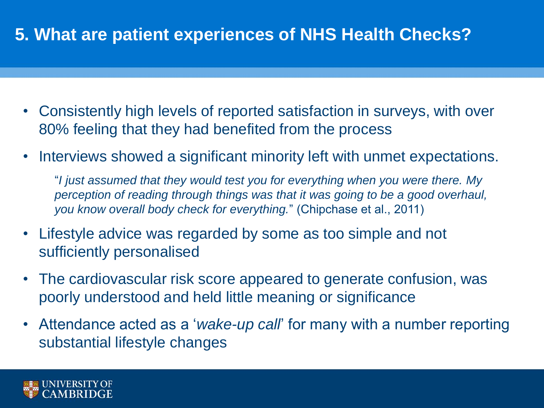#### **5. What are patient experiences of NHS Health Checks?**

- Consistently high levels of reported satisfaction in surveys, with over 80% feeling that they had benefited from the process
- Interviews showed a significant minority left with unmet expectations.

"*I just assumed that they would test you for everything when you were there. My perception of reading through things was that it was going to be a good overhaul, you know overall body check for everything.*" (Chipchase et al., 2011)

- Lifestyle advice was regarded by some as too simple and not sufficiently personalised
- The cardiovascular risk score appeared to generate confusion, was poorly understood and held little meaning or significance
- Attendance acted as a '*wake-up call*' for many with a number reporting substantial lifestyle changes

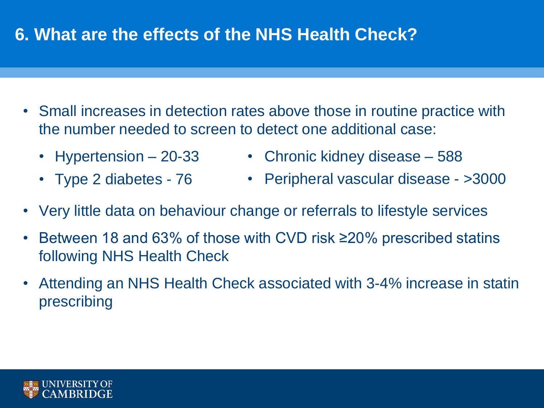#### **6. What are the effects of the NHS Health Check?**

- Small increases in detection rates above those in routine practice with the number needed to screen to detect one additional case:
	- Hypertension 20-33
	- Type 2 diabetes 76
- Chronic kidney disease 588
- Peripheral vascular disease >3000
- Very little data on behaviour change or referrals to lifestyle services
- Between 18 and 63% of those with CVD risk ≥20% prescribed statins following NHS Health Check
- Attending an NHS Health Check associated with 3-4% increase in statin prescribing